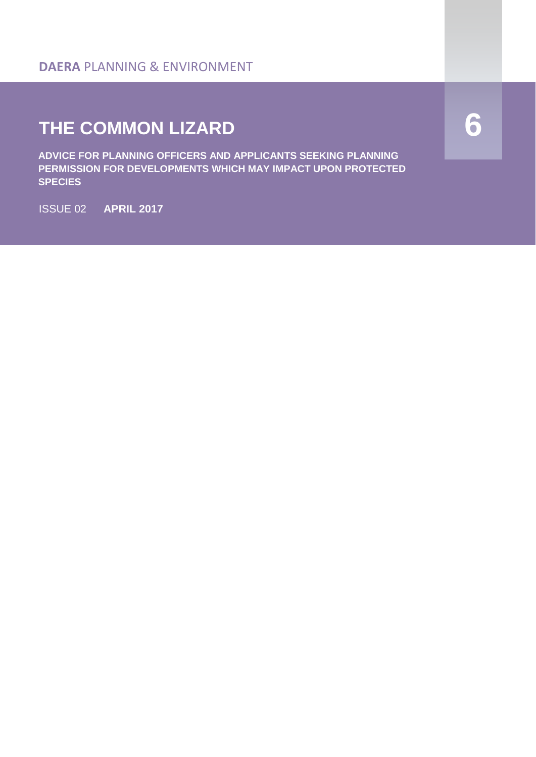#### **DAERA** PLANNING & ENVIRONMENT

# **THE COMMON LIZARD**

**ADVICE FOR PLANNING OFFICERS AND APPLICANTS SEEKING PLANNING PERMISSION FOR DEVELOPMENTS WHICH MAY IMPACT UPON PROTECTED SPECIES**

ISSUE 02 **APRIL 2017** 

**6**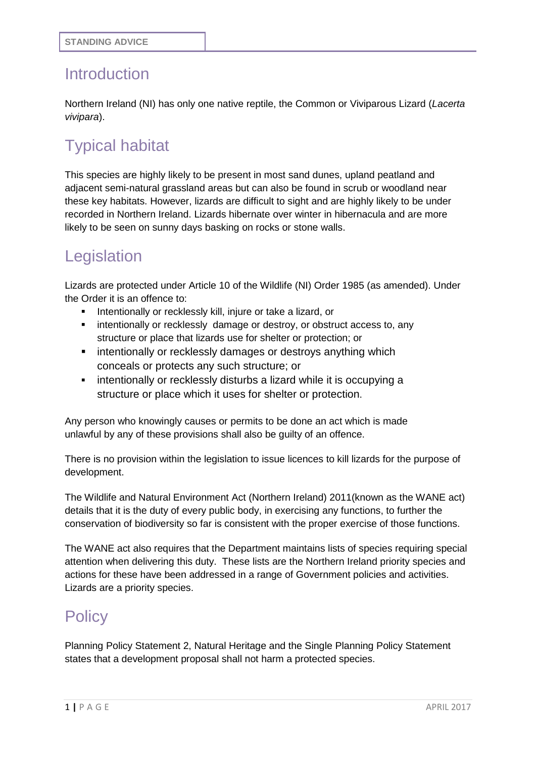#### Introduction

Northern Ireland (NI) has only one native reptile, the Common or Viviparous Lizard (*Lacerta vivipara*).

# Typical habitat

This species are highly likely to be present in most sand dunes, upland peatland and adjacent semi-natural grassland areas but can also be found in scrub or woodland near these key habitats. However, lizards are difficult to sight and are highly likely to be under recorded in Northern Ireland. Lizards hibernate over winter in hibernacula and are more likely to be seen on sunny days basking on rocks or stone walls.

#### Legislation

Lizards are protected under Article 10 of the Wildlife (NI) Order 1985 (as amended). Under the Order it is an offence to:

- Intentionally or recklessly kill, injure or take a lizard, or
- intentionally or recklessly damage or destroy, or obstruct access to, any structure or place that lizards use for shelter or protection; or
- **EXECT** intentionally or recklessly damages or destroys anything which conceals or protects any such structure; or
- **EXED** intentionally or recklessly disturbs a lizard while it is occupying a structure or place which it uses for shelter or protection.

Any person who knowingly causes or permits to be done an act which is made unlawful by any of these provisions shall also be guilty of an offence.

There is no provision within the legislation to issue licences to kill lizards for the purpose of development.

The Wildlife and Natural Environment Act (Northern Ireland) 2011(known as the WANE act) details that it is the duty of every public body, in exercising any functions, to further the conservation of biodiversity so far is consistent with the proper exercise of those functions.

The WANE act also requires that the Department maintains lists of species requiring special attention when delivering this duty. These lists are the Northern Ireland priority species and actions for these have been addressed in a range of Government policies and activities. Lizards are a priority species.

#### **Policy**

Planning Policy Statement 2, Natural Heritage and the Single Planning Policy Statement states that a development proposal shall not harm a protected species.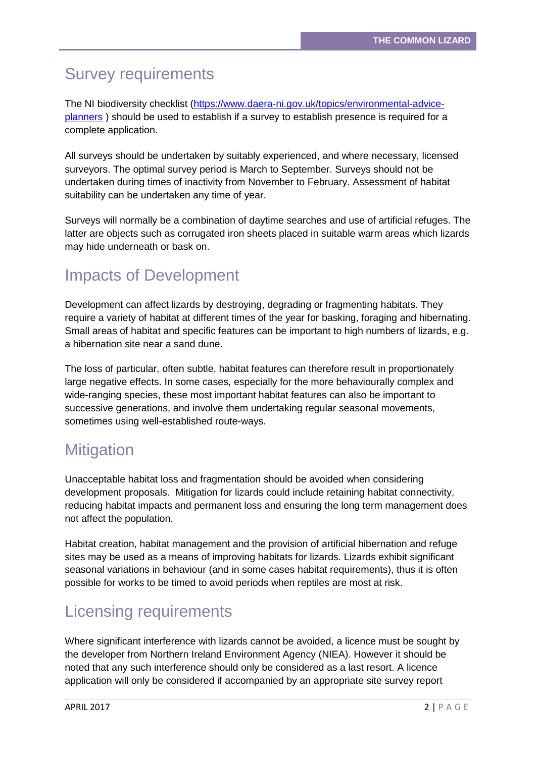# Survey requirements

The NI biodiversity checklist [\(https://www.daera-ni.gov.uk/topics/environmental-advice](https://www.daera-ni.gov.uk/topics/environmental-advice-planners)[planners](https://www.daera-ni.gov.uk/topics/environmental-advice-planners) ) should be used to establish if a survey to establish presence is required for a complete application.

All surveys should be undertaken by suitably experienced, and where necessary, licensed surveyors. The optimal survey period is March to September. Surveys should not be undertaken during times of inactivity from November to February. Assessment of habitat suitability can be undertaken any time of year.

Surveys will normally be a combination of daytime searches and use of artificial refuges. The latter are objects such as corrugated iron sheets placed in suitable warm areas which lizards may hide underneath or bask on.

#### Impacts of Development

Development can affect lizards by destroying, degrading or fragmenting habitats. They require a variety of habitat at different times of the year for basking, foraging and hibernating. Small areas of habitat and specific features can be important to high numbers of lizards, e.g. a hibernation site near a sand dune.

The loss of particular, often subtle, habitat features can therefore result in proportionately large negative effects. In some cases, especially for the more behaviourally complex and wide-ranging species, these most important habitat features can also be important to successive generations, and involve them undertaking regular seasonal movements, sometimes using well-established route-ways.

#### **Mitigation**

Unacceptable habitat loss and fragmentation should be avoided when considering development proposals. Mitigation for lizards could include retaining habitat connectivity, reducing habitat impacts and permanent loss and ensuring the long term management does not affect the population.

Habitat creation, habitat management and the provision of artificial hibernation and refuge sites may be used as a means of improving habitats for lizards. Lizards exhibit significant seasonal variations in behaviour (and in some cases habitat requirements), thus it is often possible for works to be timed to avoid periods when reptiles are most at risk.

#### Licensing requirements

Where significant interference with lizards cannot be avoided, a licence must be sought by the developer from Northern Ireland Environment Agency (NIEA). However it should be noted that any such interference should only be considered as a last resort. A licence application will only be considered if accompanied by an appropriate site survey report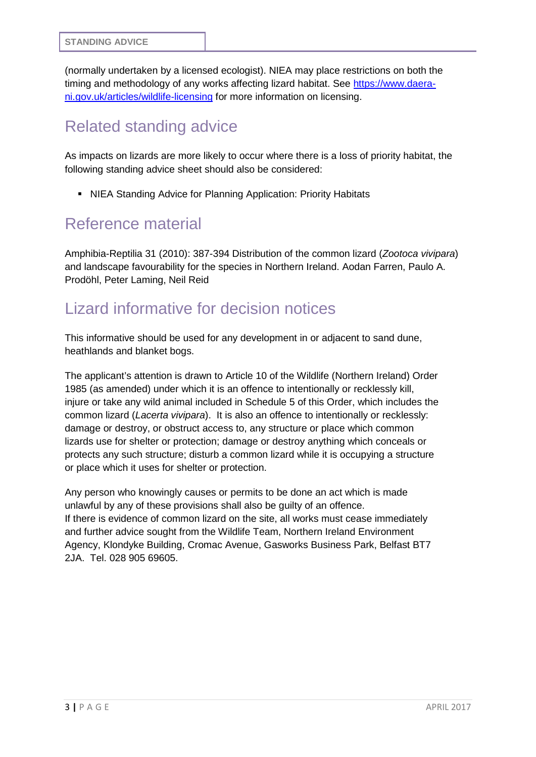(normally undertaken by a licensed ecologist). NIEA may place restrictions on both the timing and methodology of any works affecting lizard habitat. See [https://www.daera](https://www.daera-ni.gov.uk/articles/wildlife-licensing)[ni.gov.uk/articles/wildlife-licensing](https://www.daera-ni.gov.uk/articles/wildlife-licensing) for more information on licensing.

### Related standing advice

As impacts on lizards are more likely to occur where there is a loss of priority habitat, the following standing advice sheet should also be considered:

NIEA Standing Advice for Planning Application: Priority Habitats

#### Reference material

Amphibia-Reptilia 31 (2010): 387-394 Distribution of the common lizard (*Zootoca vivipara*) and landscape favourability for the species in Northern Ireland. Aodan Farren, Paulo A. Prodöhl, Peter Laming, Neil Reid

#### Lizard informative for decision notices

This informative should be used for any development in or adjacent to sand dune, heathlands and blanket bogs.

The applicant's attention is drawn to Article 10 of the Wildlife (Northern Ireland) Order 1985 (as amended) under which it is an offence to intentionally or recklessly kill, injure or take any wild animal included in Schedule 5 of this Order, which includes the common lizard (*Lacerta vivipara*). It is also an offence to intentionally or recklessly: damage or destroy, or obstruct access to, any structure or place which common lizards use for shelter or protection; damage or destroy anything which conceals or protects any such structure; disturb a common lizard while it is occupying a structure or place which it uses for shelter or protection.

Any person who knowingly causes or permits to be done an act which is made unlawful by any of these provisions shall also be guilty of an offence. If there is evidence of common lizard on the site, all works must cease immediately and further advice sought from the Wildlife Team, Northern Ireland Environment Agency, Klondyke Building, Cromac Avenue, Gasworks Business Park, Belfast BT7 2JA. Tel. 028 905 69605.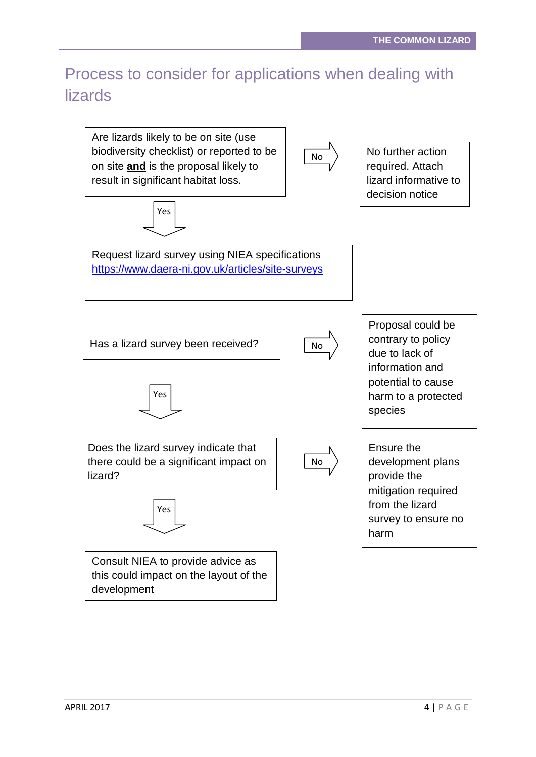## Process to consider for applications when dealing with lizards